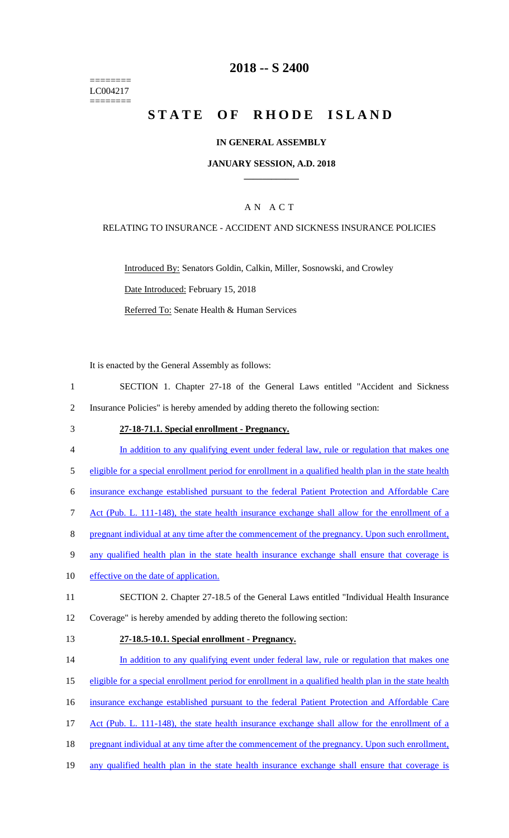======== LC004217 ========

# **2018 -- S 2400**

# STATE OF RHODE ISLAND

### **IN GENERAL ASSEMBLY**

#### **JANUARY SESSION, A.D. 2018 \_\_\_\_\_\_\_\_\_\_\_\_**

## A N A C T

#### RELATING TO INSURANCE - ACCIDENT AND SICKNESS INSURANCE POLICIES

Introduced By: Senators Goldin, Calkin, Miller, Sosnowski, and Crowley Date Introduced: February 15, 2018 Referred To: Senate Health & Human Services

It is enacted by the General Assembly as follows:

- 1 SECTION 1. Chapter 27-18 of the General Laws entitled "Accident and Sickness 2 Insurance Policies" is hereby amended by adding thereto the following section:
- 3 **27-18-71.1. Special enrollment - Pregnancy.**
- 4 In addition to any qualifying event under federal law, rule or regulation that makes one
- 5 eligible for a special enrollment period for enrollment in a qualified health plan in the state health

6 insurance exchange established pursuant to the federal Patient Protection and Affordable Care

- 7 Act (Pub. L. 111-148), the state health insurance exchange shall allow for the enrollment of a
- 8 pregnant individual at any time after the commencement of the pregnancy. Upon such enrollment,
- 9 any qualified health plan in the state health insurance exchange shall ensure that coverage is
- 10 effective on the date of application.
- 11 SECTION 2. Chapter 27-18.5 of the General Laws entitled "Individual Health Insurance
- 12 Coverage" is hereby amended by adding thereto the following section:
- 

#### 13 **27-18.5-10.1. Special enrollment - Pregnancy.**

- 14 In addition to any qualifying event under federal law, rule or regulation that makes one
- 15 eligible for a special enrollment period for enrollment in a qualified health plan in the state health
- 16 insurance exchange established pursuant to the federal Patient Protection and Affordable Care
- 17 Act (Pub. L. 111-148), the state health insurance exchange shall allow for the enrollment of a
- 18 pregnant individual at any time after the commencement of the pregnancy. Upon such enrollment,
- 19 any qualified health plan in the state health insurance exchange shall ensure that coverage is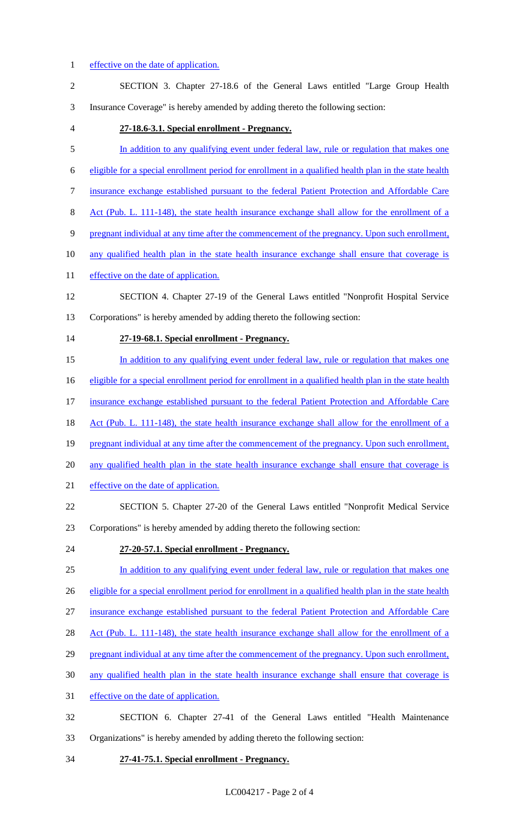# 1 effective on the date of application.

| $\overline{c}$ | SECTION 3. Chapter 27-18.6 of the General Laws entitled "Large Group Health                            |
|----------------|--------------------------------------------------------------------------------------------------------|
| 3              | Insurance Coverage" is hereby amended by adding thereto the following section:                         |
| $\overline{4}$ | 27-18.6-3.1. Special enrollment - Pregnancy.                                                           |
| 5              | In addition to any qualifying event under federal law, rule or regulation that makes one               |
| 6              | eligible for a special enrollment period for enrollment in a qualified health plan in the state health |
| 7              | insurance exchange established pursuant to the federal Patient Protection and Affordable Care          |
| 8              | Act (Pub. L. 111-148), the state health insurance exchange shall allow for the enrollment of a         |
| 9              | pregnant individual at any time after the commencement of the pregnancy. Upon such enrollment,         |
| 10             | any qualified health plan in the state health insurance exchange shall ensure that coverage is         |
| 11             | effective on the date of application.                                                                  |
| 12             | SECTION 4. Chapter 27-19 of the General Laws entitled "Nonprofit Hospital Service                      |
| 13             | Corporations" is hereby amended by adding thereto the following section:                               |
| 14             | 27-19-68.1. Special enrollment - Pregnancy.                                                            |
| 15             | In addition to any qualifying event under federal law, rule or regulation that makes one               |
| 16             | eligible for a special enrollment period for enrollment in a qualified health plan in the state health |
| 17             | insurance exchange established pursuant to the federal Patient Protection and Affordable Care          |
| 18             | Act (Pub. L. 111-148), the state health insurance exchange shall allow for the enrollment of a         |
| 19             | pregnant individual at any time after the commencement of the pregnancy. Upon such enrollment,         |
| 20             | any qualified health plan in the state health insurance exchange shall ensure that coverage is         |
| 21             | effective on the date of application.                                                                  |
| 22             | SECTION 5. Chapter 27-20 of the General Laws entitled "Nonprofit Medical Service"                      |
| 23             | Corporations" is hereby amended by adding thereto the following section:                               |
| 24             | 27-20-57.1. Special enrollment - Pregnancy.                                                            |
| 25             | In addition to any qualifying event under federal law, rule or regulation that makes one               |
| 26             | eligible for a special enrollment period for enrollment in a qualified health plan in the state health |
| 27             | insurance exchange established pursuant to the federal Patient Protection and Affordable Care          |
| 28             | Act (Pub. L. 111-148), the state health insurance exchange shall allow for the enrollment of a         |
| 29             | pregnant individual at any time after the commencement of the pregnancy. Upon such enrollment,         |
| 30             | any qualified health plan in the state health insurance exchange shall ensure that coverage is         |
| 31             | effective on the date of application.                                                                  |
| 32             | SECTION 6. Chapter 27-41 of the General Laws entitled "Health Maintenance                              |
| 33             | Organizations" is hereby amended by adding thereto the following section:                              |

34 **27-41-75.1. Special enrollment - Pregnancy.**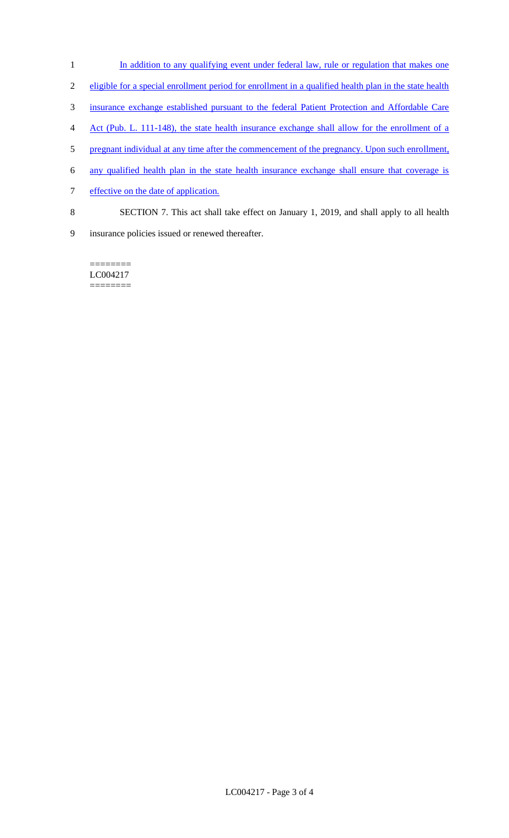- 1 In addition to any qualifying event under federal law, rule or regulation that makes one
- 2 eligible for a special enrollment period for enrollment in a qualified health plan in the state health
- 3 insurance exchange established pursuant to the federal Patient Protection and Affordable Care
- 4 Act (Pub. L. 111-148), the state health insurance exchange shall allow for the enrollment of a
- 5 pregnant individual at any time after the commencement of the pregnancy. Upon such enrollment,
- 6 any qualified health plan in the state health insurance exchange shall ensure that coverage is
- 7 effective on the date of application.
- 8 SECTION 7. This act shall take effect on January 1, 2019, and shall apply to all health
- 9 insurance policies issued or renewed thereafter.

LC004217 ========

========